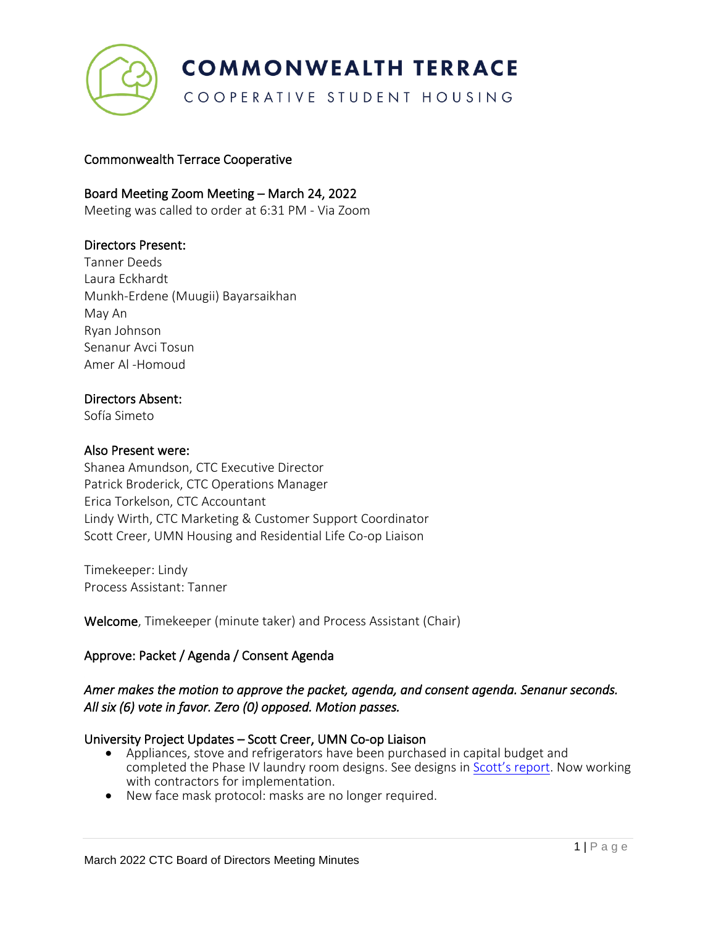

COOPERATIVE STUDENT HOUSING

## Commonwealth Terrace Cooperative

## Board Meeting Zoom Meeting – March 24, 2022

Meeting was called to order at 6:31 PM - Via Zoom

## Directors Present:

Tanner Deeds Laura Eckhardt Munkh-Erdene (Muugii) Bayarsaikhan May An Ryan Johnson Senanur Avci Tosun Amer Al -Homoud

#### Directors Absent:

Sofía Simeto

#### Also Present were:

Shanea Amundson, CTC Executive Director Patrick Broderick, CTC Operations Manager Erica Torkelson, CTC Accountant Lindy Wirth, CTC Marketing & Customer Support Coordinator Scott Creer, UMN Housing and Residential Life Co-op Liaison

Timekeeper: Lindy Process Assistant: Tanner

Welcome, Timekeeper (minute taker) and Process Assistant (Chair)

## Approve: Packet / Agenda / Consent Agenda

## *Amer makes the motion to approve the packet, agenda, and consent agenda. Senanur seconds. All six (6) vote in favor. Zero (0) opposed. Motion passes.*

## University Project Updates – Scott Creer, UMN Co-op Liaison

- Appliances, stove and refrigerators have been purchased in capital budget and completed the Phase IV laundry room designs. See designs in [Scott's](https://docs.google.com/document/d/1m2y8ekLsWGsymuQAkVicwgKqC-GpkEIJK-jEdbCudkU/edit) report. Now working with contractors for implementation.
- New face mask protocol: masks are no longer required.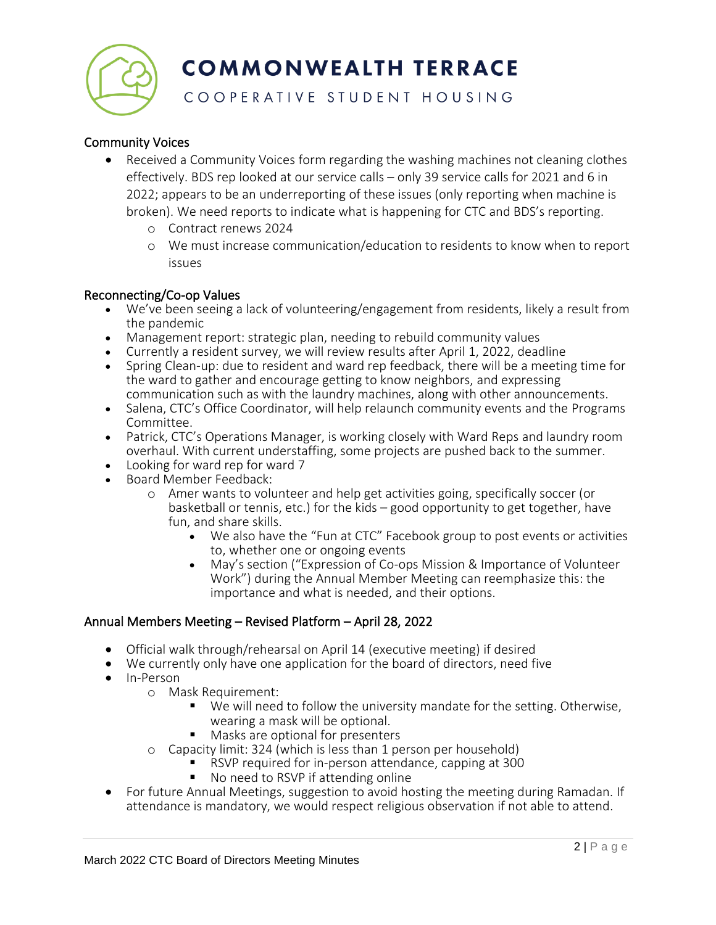

## COOPERATIVE STUDENT HOUSING

## Community Voices

- Received a Community Voices form regarding the washing machines not cleaning clothes effectively. BDS rep looked at our service calls – only 39 service calls for 2021 and 6 in 2022; appears to be an underreporting of these issues (only reporting when machine is broken). We need reports to indicate what is happening for CTC and BDS's reporting.
	- o Contract renews 2024
	- o We must increase communication/education to residents to know when to report issues

#### Reconnecting/Co-op Values

- We've been seeing a lack of volunteering/engagement from residents, likely a result from the pandemic
- Management report: strategic plan, needing to rebuild community values
- Currently a resident survey, we will review results after April 1, 2022, deadline
- Spring Clean-up: due to resident and ward rep feedback, there will be a meeting time for the ward to gather and encourage getting to know neighbors, and expressing communication such as with the laundry machines, along with other announcements.
- Salena, CTC's Office Coordinator, will help relaunch community events and the Programs Committee.
- Patrick, CTC's Operations Manager, is working closely with Ward Reps and laundry room overhaul. With current understaffing, some projects are pushed back to the summer.
- Looking for ward rep for ward 7
- Board Member Feedback:
	- o Amer wants to volunteer and help get activities going, specifically soccer (or basketball or tennis, etc.) for the kids – good opportunity to get together, have fun, and share skills.
		- We also have the "Fun at CTC" Facebook group to post events or activities to, whether one or ongoing events
		- May's section ("Expression of Co-ops Mission & Importance of Volunteer Work") during the Annual Member Meeting can reemphasize this: the importance and what is needed, and their options.

## Annual Members Meeting – Revised Platform – April 28, 2022

- Official walk through/rehearsal on April 14 (executive meeting) if desired
- We currently only have one application for the board of directors, need five
- In-Person
	- o Mask Requirement:
		- We will need to follow the university mandate for the setting. Otherwise, wearing a mask will be optional.
		- Masks are optional for presenters
	- o Capacity limit: 324 (which is less than 1 person per household)
		- RSVP required for in-person attendance, capping at 300
			- No need to RSVP if attending online
- For future Annual Meetings, suggestion to avoid hosting the meeting during Ramadan. If attendance is mandatory, we would respect religious observation if not able to attend.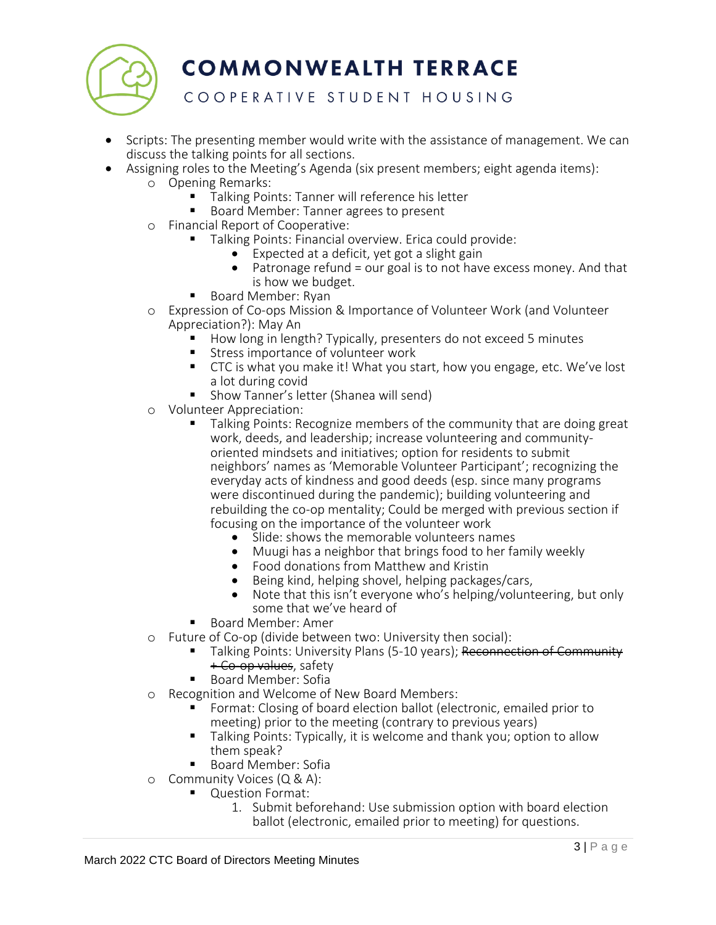

## COOPERATIVE STUDENT HOUSING

- Scripts: The presenting member would write with the assistance of management. We can discuss the talking points for all sections.
- Assigning roles to the Meeting's Agenda (six present members; eight agenda items):
	- o Opening Remarks:
		- Talking Points: Tanner will reference his letter
		- Board Member: Tanner agrees to present
	- o Financial Report of Cooperative:
		- Talking Points: Financial overview. Erica could provide:
			- Expected at a deficit, yet got a slight gain
			- Patronage refund = our goal is to not have excess money. And that is how we budget.
		- Board Member: Ryan
	- o Expression of Co-ops Mission & Importance of Volunteer Work (and Volunteer Appreciation?): May An
		- How long in length? Typically, presenters do not exceed 5 minutes
		- Stress importance of volunteer work<br>■ CTC is what you make it l What you st
		- CTC is what you make it! What you start, how you engage, etc. We've lost a lot during covid
		- Show Tanner's letter (Shanea will send)
	- o Volunteer Appreciation:
		- Talking Points: Recognize members of the community that are doing great work, deeds, and leadership; increase volunteering and communityoriented mindsets and initiatives; option for residents to submit neighbors' names as 'Memorable Volunteer Participant'; recognizing the everyday acts of kindness and good deeds (esp. since many programs were discontinued during the pandemic); building volunteering and rebuilding the co-op mentality; Could be merged with previous section if focusing on the importance of the volunteer work
			- Slide: shows the memorable volunteers names
			- Muugi has a neighbor that brings food to her family weekly
			- Food donations from Matthew and Kristin
			- Being kind, helping shovel, helping packages/cars,
			- Note that this isn't everyone who's helping/volunteering, but only some that we've heard of
		- Board Member: Amer
	- o Future of Co-op (divide between two: University then social):
		- Talking Points: University Plans (5-10 years); Reconnection of Community + Co-op values, safety
		- Board Member: Sofia
	- o Recognition and Welcome of New Board Members:
		- Format: Closing of board election ballot (electronic, emailed prior to meeting) prior to the meeting (contrary to previous years)
		- Talking Points: Typically, it is welcome and thank you; option to allow them speak?
		- Board Member: Sofia
	- o Community Voices (Q & A):
		- Question Format:
			- 1. Submit beforehand: Use submission option with board election ballot (electronic, emailed prior to meeting) for questions.